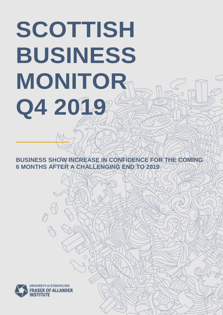# **SCOTTISH BUSINESS MONITOR Q4 2019**

**BUSINESS SHOW INCREASE IN CONFIDENCE FOR THE COMING 6 MONTHS AFTER A CHALLENGING END TO 2019**

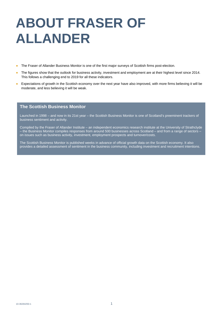# **ABOUT FRASER OF ALLANDER**

- The Fraser of Allander Business Monitor is one of the first major surveys of Scottish firms post-election.
- The figures show that the outlook for business activity, investment and employment are at their highest level since 2014. This follows a challenging end to 2019 for all these indicators.
- Expectations of growth in the Scottish economy over the next year have also improved, with more firms believing it will be moderate, and less believing it will be weak.

## **The Scottish Business Monitor**

Launched in 1998 – and now in its 21st year – the Scottish Business Monitor is one of Scotland's preeminent trackers of business sentiment and activity.

Compiled by the Fraser of Allander Institute – an independent economics research institute at the University of Strathclyde – the Business Monitor compiles responses from around 500 businesses across Scotland – and from a range of sectors – on issues such as business activity, investment, employment prospects and turnover/costs.

The Scottish Business Monitor is published weeks in advance of official growth data on the Scottish economy. It also provides a detailed assessment of sentiment in the business community, including investment and recruitment intentions.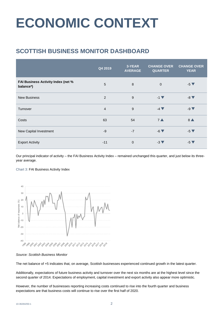# **ECONOMIC CONTEXT**

# **SCOTTISH BUSINESS MONITOR DASHBOARD**

|                                                 | Q4 2019        | 3-YEAR<br><b>AVERAGE</b> | <b>CHANGE OVER</b><br><b>QUARTER</b> | <b>CHANGE OVER</b><br><b>YEAR</b> |
|-------------------------------------------------|----------------|--------------------------|--------------------------------------|-----------------------------------|
| FAI Business Activity Index (net %<br>balance*) | 5              | 8                        | $\mathbf 0$                          | $-5$ $\blacktriangledown$         |
| <b>New Business</b>                             | 2              | 9                        | $-1$ $\blacktriangledown$            | $-8$ $\blacktriangledown$         |
| Turnover                                        | $\overline{4}$ | 9                        | $-4$ $\blacktriangledown$            | $-9$ $\blacktriangledown$         |
| Costs                                           | 63             | 54                       | $7^$                                 | 8 <sup>4</sup>                    |
| New Capital Investment                          | $-9$           | $-7$                     | $-6$ $\blacktriangledown$            | $-5$ $\blacktriangledown$         |
| <b>Export Activity</b>                          | $-11$          | $\mathbf 0$              | $-3$ $\blacktriangledown$            | $-5$ $\blacktriangledown$         |

Our principal indicator of activity – the FAI Business Activity Index – remained unchanged this quarter, and just below its threeyear average.

#### Chart 3: FAI Business Activity Index



#### *Source: Scottish Business Monitor*

The net balance of +5 indicates that, on average, Scottish businesses experienced continued growth in the latest quarter.

Additionally, expectations of future business activity and turnover over the next six months are at the highest level since the second quarter of 2014. Expectations of employment, capital investment and export activity also appear more optimistic.

However, the number of businesses reporting increasing costs continued to rise into the fourth quarter and business expectations are that business costs will continue to rise over the first half of 2020.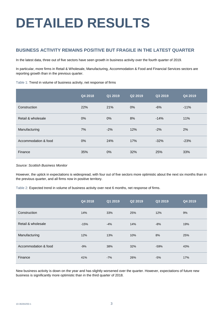# **DETAILED RESULTS**

# **BUSINESS ACTIVITY REMAINS POSITIVE BUT FRAGILE IN THE LATEST QUARTER**

In the latest data, three out of five sectors have seen growth in business activity over the fourth quarter of 2019.

In particular, more firms in Retail & Wholesale, Manufacturing, Accommodation & Food and Financial Services sectors are reporting growth than in the previous quarter.

| Table 1: Trend in volume of business activity, net response of firms |  |
|----------------------------------------------------------------------|--|
|----------------------------------------------------------------------|--|

|                      | Q4 2018 | Q1 2019 | Q2 2019 | Q3 2019 | Q4 2019 |
|----------------------|---------|---------|---------|---------|---------|
| Construction         | 22%     | 21%     | $0\%$   | $-6%$   | $-11%$  |
| Retail & wholesale   | $0\%$   | 0%      | 8%      | $-14%$  | 11%     |
| Manufacturing        | 7%      | $-2%$   | 12%     | $-2%$   | 2%      |
| Accommodation & food | $0\%$   | 24%     | 17%     | $-32%$  | $-23%$  |
| Finance              | 35%     | 0%      | 32%     | 25%     | 33%     |

#### *Source: Scottish Business Monitor*

However, the uptick in expectations is widespread, with four out of five sectors more optimistic about the next six months than in the previous quarter, and all firms now in positive territory.

Table 2: Expected trend in volume of business activity over next 6 months, net response of firms.

|                      | Q4 2018 | Q1 2019 | Q2 2019 | Q3 2019 | Q4 2019 |
|----------------------|---------|---------|---------|---------|---------|
| Construction         | 14%     | 33%     | 25%     | 12%     | 9%      |
| Retail & wholesale   | $-15%$  | $-4%$   | 14%     | $-8%$   | 19%     |
| Manufacturing        | 12%     | 13%     | 10%     | 8%      | 25%     |
| Accommodation & food | $-9%$   | 38%     | 32%     | $-59%$  | 43%     |
| Finance              | 41%     | $-7%$   | 26%     | $-5%$   | 17%     |

New business activity is down on the year and has slightly worsened over the quarter. However, expectations of future new business is significantly more optimistic than in the third quarter of 2018.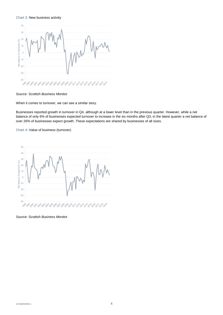#### Chart 3: New business activity



*Source: Scottish Business Monitor*

When it comes to turnover, we can see a similar story.

Businesses reported growth in turnover in Q4, although at a lower level than in the previous quarter. However, while a net balance of only 6% of businesses expected turnover to increase in the six months after Q3, in the latest quarter a net balance of over 26% of businesses expect growth. These expectations are shared by businesses of all sizes.

Chart 4: Value of business (turnover)



*Source: Scottish Business Monito*r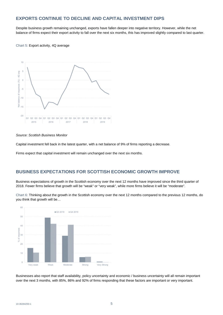### **EXPORTS CONTINUE TO DECLINE AND CAPITAL INVESTMENT DIPS**

Despite business growth remaining unchanged, exports have fallen deeper into negative territory. However, while the net balance of firms expect their export activity to fall over the next six months, this has improved slightly compared to last quarter.

#### Chart 5: Export activity, 4Q average



#### *Source: Scottish Business Monitor*

Capital investment fell back in the latest quarter, with a net balance of 9% of firms reporting a decrease.

Firms expect that capital investment will remain unchanged over the next six months.

### **BUSINESS EXPECTATIONS FOR SCOTTISH ECONOMIC GROWTH IMPROVE**

Business expectations of growth in the Scottish economy over the next 12 months have improved since the third quarter of 2018. Fewer firms believe that growth will be "weak" or "very weak", while more firms believe it will be "moderate".

Chart 6: Thinking about the growth in the Scottish economy over the next 12 months compared to the previous 12 months, do you think that growth will be…



Businesses also report that staff availability, policy uncertainty and economic / business uncertainty will all remain important over the next 3 months, with 85%, 86% and 92% of firms responding that these factors are important or very important.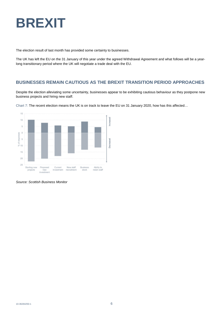

The election result of last month has provided some certainty to businesses.

The UK has left the EU on the 31 January of this year under the agreed Withdrawal Agreement and what follows will be a yearlong transitionary period where the UK will negotiate a trade deal with the EU.

### **BUSINESSES REMAIN CAUTIOUS AS THE BREXIT TRANSITION PERIOD APPROACHES**

Despite the election alleviating some uncertainty, businesses appear to be exhibiting cautious behaviour as they postpone new business projects and hiring new staff.



Chart 7: The recent election means the UK is on track to leave the EU on 31 January 2020, how has this affected…

*Source: Scottish Business Monitor*